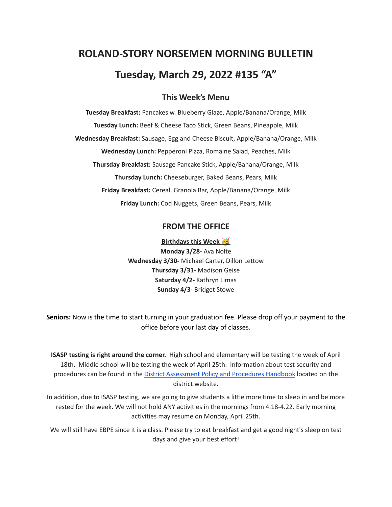# **ROLAND-STORY NORSEMEN MORNING BULLETIN Tuesday, March 29, 2022 #135 "A"**

## **This Week's Menu**

**Tuesday Breakfast:** Pancakes w. Blueberry Glaze, Apple/Banana/Orange, Milk **Tuesday Lunch:** Beef & Cheese Taco Stick, Green Beans, Pineapple, Milk **Wednesday Breakfast:** Sausage, Egg and Cheese Biscuit, Apple/Banana/Orange, Milk **Wednesday Lunch:** Pepperoni Pizza, Romaine Salad, Peaches, Milk **Thursday Breakfast:** Sausage Pancake Stick, Apple/Banana/Orange, Milk **Thursday Lunch:** Cheeseburger, Baked Beans, Pears, Milk **Friday Breakfast:** Cereal, Granola Bar, Apple/Banana/Orange, Milk **Friday Lunch:** Cod Nuggets, Green Beans, Pears, Milk

#### **FROM THE OFFICE**

**Birthdays this Week Monday 3/28-** Ava Nolte **Wednesday 3/30-** Michael Carter, Dillon Lettow **Thursday 3/31-** Madison Geise **Saturday 4/2-** Kathryn Limas **Sunday 4/3-** Bridget Stowe

**Seniors:** Now is the time to start turning in your graduation fee. Please drop off your payment to the office before your last day of classes.

**ISASP testing is right around the corner.** High school and elementary will be testing the week of April 18th. Middle school will be testing the week of April 25th. Information about test security and procedures can be found in the District [Assessment](https://rolandstory.school/media/Michelle%20Soderstrum/RSCSD_District_Assessment_Poli%20-%20Copy%203.pdf) Policy and Procedures Handbook located on the district website.

In addition, due to ISASP testing, we are going to give students a little more time to sleep in and be more rested for the week. We will not hold ANY activities in the mornings from 4.18-4.22. Early morning activities may resume on Monday, April 25th.

We will still have EBPE since it is a class. Please try to eat breakfast and get a good night's sleep on test days and give your best effort!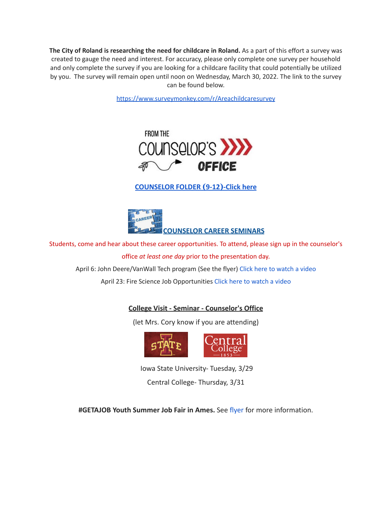**The City of Roland is researching the need for childcare in Roland.** As a part of this effort a survey was created to gauge the need and interest. For accuracy, please only complete one survey per household and only complete the survey if you are looking for a childcare facility that could potentially be utilized by you. The survey will remain open until noon on Wednesday, March 30, 2022. The link to the survey can be found below.

<https://www.surveymonkey.com/r/Areachildcaresurvey>



## **[COUNSELOR FOLDER](https://docs.google.com/document/d/1vmwczNPbDzXe9vFaG5LJMQ7NYDv-i4oQJHybqA65TUc/edit?usp=sharing) (9-12)-Click here**



Students, come and hear about these career opportunities. To attend, please sign up in the counselor's office *at least one day* prior to the presentation day.

April 6: John Deere/VanWall Tech program (See the flyer) Click here to [watch](https://www.youtube.com/watch?v=h0zPXGK_n_c) a video

April 23: Fire Science Job Opportunities Click here to [watch](https://www.youtube.com/watch?v=xBXR6h_2eWg) a video

### **College Visit - Seminar - Counselor's Office**

(let Mrs. Cory know if you are attending)



Iowa State University- Tuesday, 3/29 Central College- Thursday, 3/31

**#GETAJOB Youth Summer Job Fair in Ames.** See [flyer](https://drive.google.com/file/d/19PRxPHgJE0Wyssa45Q2YrSued6K3SDaH/view?usp=sharing) for more information.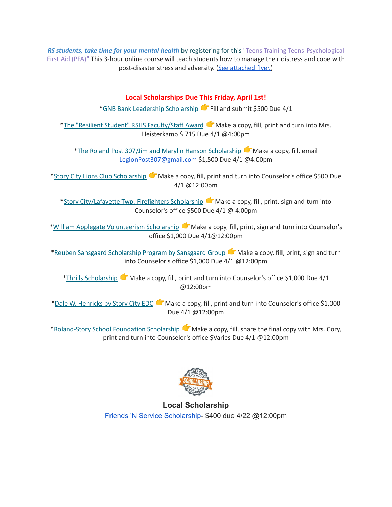*RS students, take time for your mental health* by registering for this "Teens Training Teens-Psychological First Aid (PFA)" This 3-hour online course will teach students how to manage their distress and cope with post-disaster stress and adversity. (See [attached](https://drive.google.com/file/d/18ZxsDgb9mTVccDP5AD1ejwqoEi1MNUwE/view?usp=sharing) flyer.)

### **Local Scholarships Due This Friday, April 1st!**

\*GNB Bank Leadership [Scholarship](https://www.gnbbank.com/resources/story-city-leadership-scholarship) Fill and submit \$500 Due 4/1

\*The "Resilient Student" RSHS [Faculty/Staff](https://docs.google.com/document/d/1DolWUUWkhc9uRV9cDZrlwnYTIr44UcPiFxY4Xkupsj0/edit?usp=sharing) Award Make a copy, fill, print and turn into Mrs. Heisterkamp \$ 715 Due 4/1 @4:00pm

\*The Roland Post 307/Jim and Marylin Hanson [Scholarship](https://docs.google.com/document/d/1hGUuBTFqrA-IeXjmN94zoUkQR-ErMDrUDyJX0Yc3fx0/edit?usp=sharing) Make a copy, fill, email LegionPost307@gmail.com \$1,500 Due 4/1 @4:00pm

\*Story City Lions Club [Scholarship](https://docs.google.com/document/d/1z7ucMbK4WEvvNb9NVBe3FD28h53iTSawX8qWUl0m6oA/edit?usp=sharing) Make a copy, fill, print and turn into Counselor's office \$500 Due 4/1 @12:00pm

\*Story [City/Lafayette](https://docs.google.com/document/d/1DRZOK0yQEV5eI7SDx7LBRARU3wUClkRxSl4DFl1TSOU/edit?usp=sharing) Twp. Firefighters Scholarship Make a copy, fill, print, sign and turn into Counselor's office \$500 Due 4/1 @ 4:00pm

\*William Applegate [Volunteerism](https://docs.google.com/document/d/1w4rNFOTwAFqpjEvS-51FwYbhvd6fQvigs1578zBW-tw/edit?usp=sharing) Scholarship Make a copy, fill, print, sign and turn into Counselor's office \$1,000 Due 4/1@12:00pm

\*Reuben Sansgaard [Scholarship](https://docs.google.com/document/d/1LR2RwFYr7AG3FUyGWVx12ymv-TE93qQbHet9jzHKVyU/edit?usp=sharing) Program by Sansgaard Group Make a copy, fill, print, sign and turn into Counselor's office \$1,000 Due 4/1 @12:00pm

\*Thrills [Scholarship](https://docs.google.com/document/d/1QJta3C5yzfZrCdazRN4EIHX3l1EGl8av38jpxH3JqyU/edit?usp=sharing) **I**Make a copy, fill, print and turn into Counselor's office \$1,000 Due 4/1 @12:00pm

\*Dale W. [Henricks](https://docs.google.com/document/d/1QlRIHdvRzmxNbdfucF4hyEJ2MzvAer_LqN1C1bAIIOk/edit?usp=sharing) by Story City EDC Make a copy, fill, print and turn into Counselor's office \$1,000 Due 4/1 @12:00pm

[\\*Roland-Story](https://docs.google.com/document/d/1L-tgrmtRhI17mbAynBf7wRqcn4feF0ftZ4YQ7eolHUI/edit) School Foundation Scholarship  $\blacksquare$  Make a copy, fill, share the final copy with Mrs. Cory, print and turn into Counselor's office \$Varies Due 4/1 @12:00pm



**Local Scholarship** Friends 'N Service [Scholarship-](https://docs.google.com/document/d/1YxuVTwJ-CIinoMlmP1qQKGAZsTg1ZqAjS9JUfoK-CpY/edit?usp=sharing) \$400 due 4/22 @12:00pm